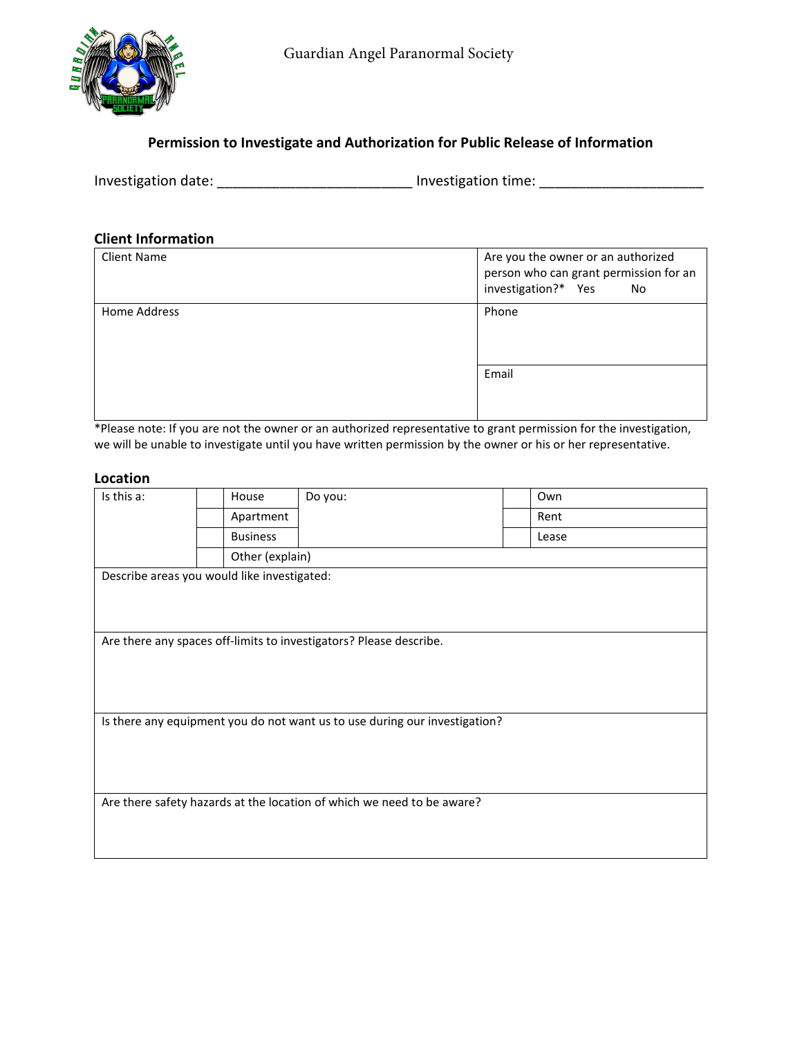

# **Permission to Investigate and Authorization for Public Release of Information**

Investigation date: \_\_\_\_\_\_\_\_\_\_\_\_\_\_\_\_\_\_\_\_\_\_\_\_\_\_\_\_\_\_ Investigation time: \_\_\_\_\_\_\_\_\_\_\_\_\_\_\_\_\_\_\_\_\_\_\_\_\_\_\_\_\_

## **Client Information**

| <b>Client Name</b> | Are you the owner or an authorized<br>person who can grant permission for an<br>investigation?* Yes<br>No |
|--------------------|-----------------------------------------------------------------------------------------------------------|
| Home Address       | Phone                                                                                                     |
|                    | Email                                                                                                     |

\*Please note: If you are not the owner or an authorized representative to grant permission for the investigation, we will be unable to investigate until you have written permission by the owner or his or her representative.

### **Location**

| Is this a:                                                             | House           | Do you:                                                                    | Own   |  |  |  |  |  |
|------------------------------------------------------------------------|-----------------|----------------------------------------------------------------------------|-------|--|--|--|--|--|
|                                                                        | Apartment       |                                                                            | Rent  |  |  |  |  |  |
|                                                                        | <b>Business</b> |                                                                            | Lease |  |  |  |  |  |
|                                                                        | Other (explain) |                                                                            |       |  |  |  |  |  |
| Describe areas you would like investigated:                            |                 |                                                                            |       |  |  |  |  |  |
|                                                                        |                 |                                                                            |       |  |  |  |  |  |
|                                                                        |                 |                                                                            |       |  |  |  |  |  |
| Are there any spaces off-limits to investigators? Please describe.     |                 |                                                                            |       |  |  |  |  |  |
|                                                                        |                 |                                                                            |       |  |  |  |  |  |
|                                                                        |                 |                                                                            |       |  |  |  |  |  |
|                                                                        |                 |                                                                            |       |  |  |  |  |  |
|                                                                        |                 | Is there any equipment you do not want us to use during our investigation? |       |  |  |  |  |  |
|                                                                        |                 |                                                                            |       |  |  |  |  |  |
|                                                                        |                 |                                                                            |       |  |  |  |  |  |
|                                                                        |                 |                                                                            |       |  |  |  |  |  |
|                                                                        |                 |                                                                            |       |  |  |  |  |  |
| Are there safety hazards at the location of which we need to be aware? |                 |                                                                            |       |  |  |  |  |  |
|                                                                        |                 |                                                                            |       |  |  |  |  |  |
|                                                                        |                 |                                                                            |       |  |  |  |  |  |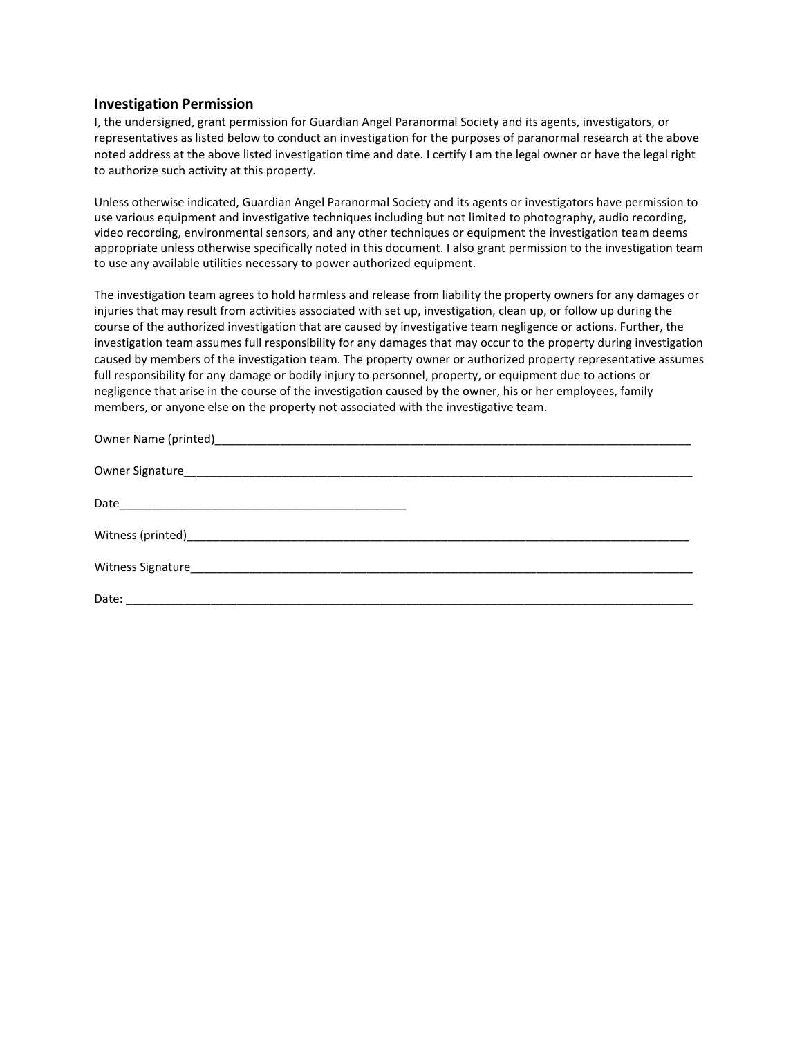#### **Investigation Permission**

I, the undersigned, grant permission for Guardian Angel Paranormal Society and its agents, investigators, or representatives as listed below to conduct an investigation for the purposes of paranormal research at the above noted address at the above listed investigation time and date. I certify I am the legal owner or have the legal right to authorize such activity at this property.

Unless otherwise indicated, Guardian Angel Paranormal Society and its agents or investigators have permission to use various equipment and investigative techniques including but not limited to photography, audio recording, video recording, environmental sensors, and any other techniques or equipment the investigation team deems appropriate unless otherwise specifically noted in this document. I also grant permission to the investigation team to use any available utilities necessary to power authorized equipment.

The investigation team agrees to hold harmless and release from liability the property owners for any damages or injuries that may result from activities associated with set up, investigation, clean up, or follow up during the course of the authorized investigation that are caused by investigative team negligence or actions. Further, the investigation team assumes full responsibility for any damages that may occur to the property during investigation caused by members of the investigation team. The property owner or authorized property representative assumes full responsibility for any damage or bodily injury to personnel, property, or equipment due to actions or negligence that arise in the course of the investigation caused by the owner, his or her employees, family members, or anyone else on the property not associated with the investigative team.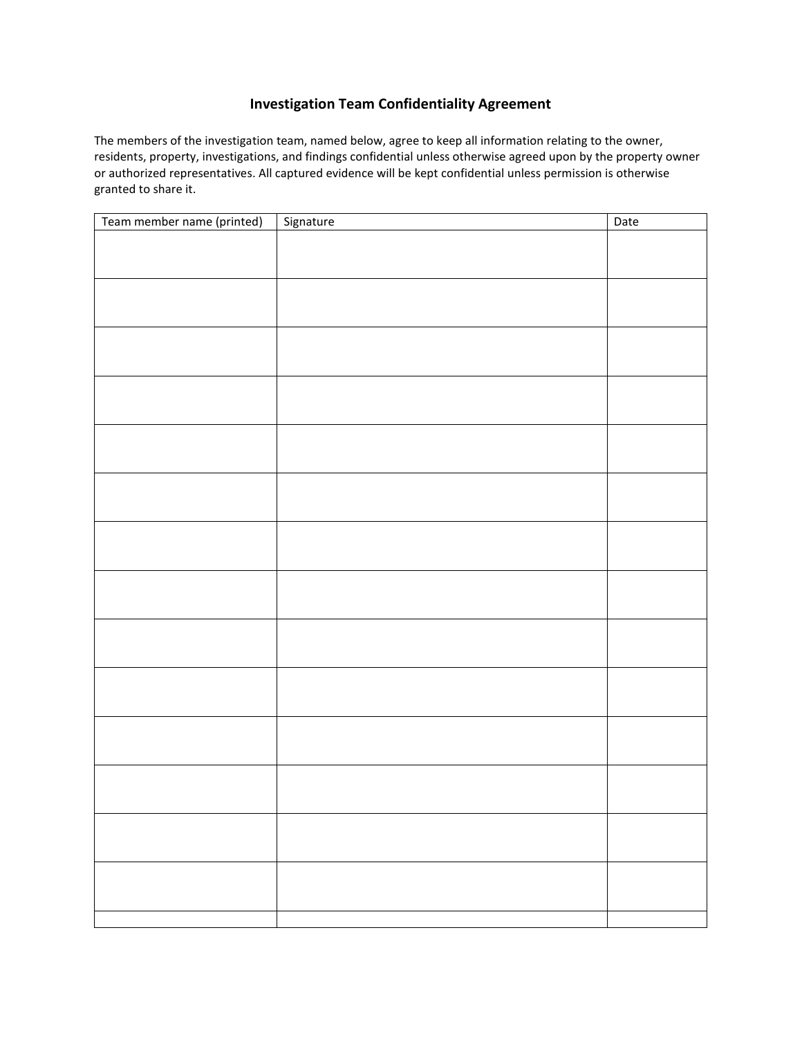## **Investigation Team Confidentiality Agreement**

The members of the investigation team, named below, agree to keep all information relating to the owner, residents, property, investigations, and findings confidential unless otherwise agreed upon by the property owner or authorized representatives. All captured evidence will be kept confidential unless permission is otherwise granted to share it.

| Team member name (printed) | Signature | Date |
|----------------------------|-----------|------|
|                            |           |      |
|                            |           |      |
|                            |           |      |
|                            |           |      |
|                            |           |      |
|                            |           |      |
|                            |           |      |
|                            |           |      |
|                            |           |      |
|                            |           |      |
|                            |           |      |
|                            |           |      |
|                            |           |      |
|                            |           |      |
|                            |           |      |
|                            |           |      |
|                            |           |      |
|                            |           |      |
|                            |           |      |
|                            |           |      |
|                            |           |      |
|                            |           |      |
|                            |           |      |
|                            |           |      |
|                            |           |      |
|                            |           |      |
|                            |           |      |
|                            |           |      |
|                            |           |      |
|                            |           |      |